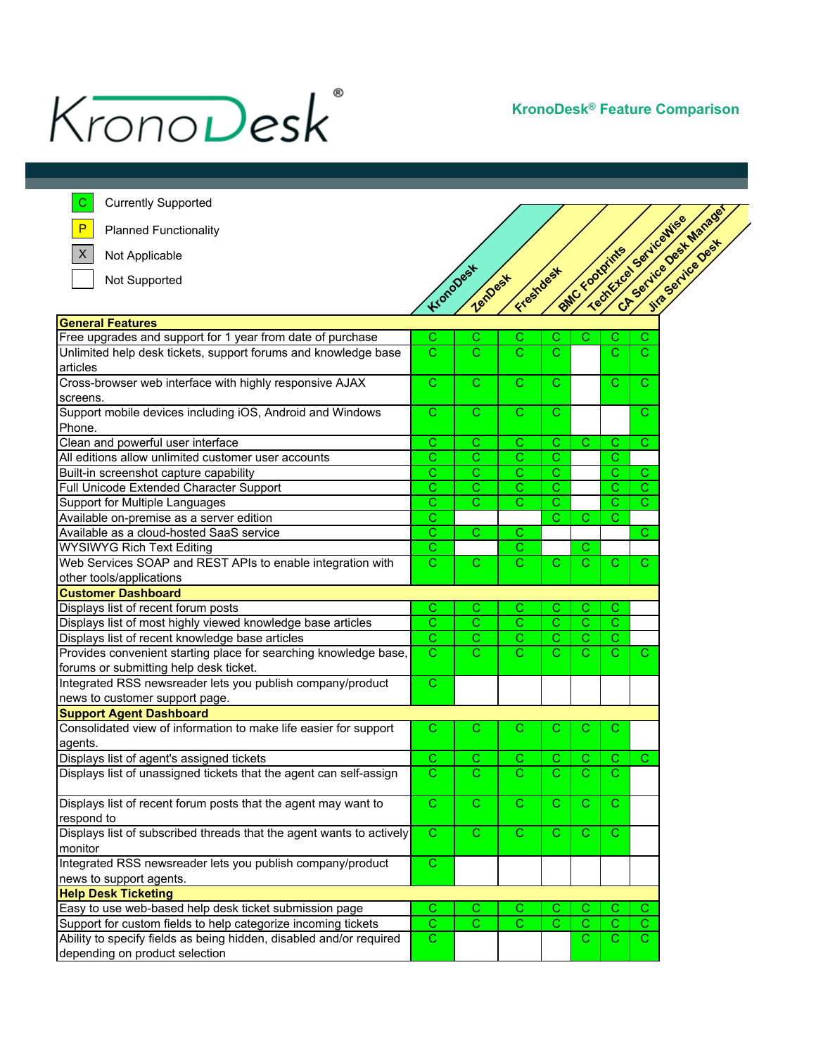

**KronoDesk® Feature Comparison**

| <b>Currently Supported</b><br>С                                      |                         |                       |                         |                |                         |                         |                         |
|----------------------------------------------------------------------|-------------------------|-----------------------|-------------------------|----------------|-------------------------|-------------------------|-------------------------|
| P<br><b>Planned Functionality</b>                                    |                         |                       |                         |                |                         | Techtrical Servicemies  | CA Service Desk Marages |
| $\mathsf X$<br>Not Applicable                                        |                         |                       |                         |                | <b>SMC FOOTOITIN'S</b>  |                         |                         |
|                                                                      |                         | Kronopest             | Freshdest               |                |                         |                         |                         |
| Not Supported                                                        |                         | ZenDest               |                         |                |                         |                         |                         |
|                                                                      |                         |                       |                         |                |                         |                         |                         |
| <b>General Features</b>                                              |                         |                       |                         |                |                         |                         |                         |
| Free upgrades and support for 1 year from date of purchase           | С                       | С                     | С                       | С              | С                       | С                       | С                       |
| Unlimited help desk tickets, support forums and knowledge base       | $\overline{\mathsf{c}}$ | $\mathcal{C}$         | $\mathbf C$             | C.             |                         | $\overline{\text{c}}$   | C                       |
| articles                                                             |                         |                       |                         |                |                         |                         |                         |
| Cross-browser web interface with highly responsive AJAX              | $\overline{C}$          | $\overline{\text{c}}$ | $\overline{\mathsf{C}}$ | $\overline{C}$ |                         | $\overline{C}$          | $\mathsf{C}$            |
| screens.                                                             |                         |                       |                         |                |                         |                         |                         |
| Support mobile devices including iOS, Android and Windows            | $\mathsf{C}$            | C                     | $\mathbf C$             | $\mathsf{C}$   |                         |                         | С                       |
| Phone.                                                               |                         |                       |                         |                |                         |                         |                         |
| Clean and powerful user interface                                    | $\mathbf C$             | С                     | $\mathbf C$             | $\mathsf{C}$   | $\mathsf{C}$            | C                       | $\mathsf{C}$            |
| All editions allow unlimited customer user accounts                  | $\mathsf{C}$            | С                     | C                       | С              |                         | С                       |                         |
| Built-in screenshot capture capability                               | $\mathsf C$             | C                     | C                       | С              |                         | C                       | C                       |
| Full Unicode Extended Character Support                              | $\mathsf C$             | $\overline{\text{c}}$ | С                       | С              |                         | C                       | $\overline{\text{c}}$   |
| Support for Multiple Languages                                       | $\overline{\text{c}}$   | Ć                     | $\overline{\text{c}}$   | $\overline{C}$ |                         | C                       | C                       |
| Available on-premise as a server edition                             | $\mathsf C$             |                       |                         | $\mathbf C$    | $\mathsf{C}$            | C                       |                         |
| Available as a cloud-hosted SaaS service                             | $\mathsf{C}$            | $\mathsf{C}$          | $\mathbf C$             |                |                         |                         | С                       |
| <b>WYSIWYG Rich Text Editing</b>                                     | $\mathbf C$             |                       | С                       |                | С                       |                         |                         |
| Web Services SOAP and REST APIs to enable integration with           | $\overline{C}$          | $\mathsf{C}$          | C.                      | $\mathbf C$    | $\mathsf{C}$            | $\mathsf{C}$            | C                       |
| other tools/applications                                             |                         |                       |                         |                |                         |                         |                         |
| <b>Customer Dashboard</b>                                            |                         |                       |                         |                |                         |                         |                         |
| Displays list of recent forum posts                                  | C                       | С                     | С                       | С              | С                       | С                       |                         |
| Displays list of most highly viewed knowledge base articles          | $\overline{C}$          | $\overline{\text{c}}$ | $\overline{\mathsf{C}}$ | $\overline{C}$ | $\overline{\mathbf{C}}$ | $\overline{\mathsf{c}}$ |                         |
| Displays list of recent knowledge base articles                      | $\overline{\text{c}}$   | $\overline{\text{c}}$ | $\overline{\text{c}}$   | $\mathbf C$    | $\overline{\text{c}}$   | $\mathbf C$             |                         |
| Provides convenient starting place for searching knowledge base,     | $\overline{C}$          | $\mathcal{C}$         | $\mathbf C$             | $\mathbf{C}$   | C                       | $\mathbf C$             | C                       |
| forums or submitting help desk ticket.                               |                         |                       |                         |                |                         |                         |                         |
| Integrated RSS newsreader lets you publish company/product           | $\overline{C}$          |                       |                         |                |                         |                         |                         |
| news to customer support page.                                       |                         |                       |                         |                |                         |                         |                         |
| <b>Support Agent Dashboard</b>                                       |                         |                       |                         |                |                         |                         |                         |
| Consolidated view of information to make life easier for support     | С                       | С                     | С                       | С              | С                       | С                       |                         |
| agents.                                                              |                         |                       |                         |                |                         |                         |                         |
| Displays list of agent's assigned tickets                            | $\overline{C}$          | $\mathsf C$           | C                       | С              | С                       | С                       | С                       |
| Displays list of unassigned tickets that the agent can self-assign   | $\overline{C}$          | $\overline{\text{c}}$ | $\overline{\text{c}}$   | $\overline{C}$ | $\overline{\text{c}}$   | $\overline{C}$          |                         |
|                                                                      |                         |                       |                         |                |                         |                         |                         |
| Displays list of recent forum posts that the agent may want to       | $\mathsf{C}$            | $\mathbf{C}$          | $\overline{C}$          | $\mathbf{C}$   | $\mathbf{C}$            | $\mathbf C$             |                         |
| respond to                                                           |                         |                       |                         |                |                         |                         |                         |
| Displays list of subscribed threads that the agent wants to actively | $\mathsf{C}$            | $\mathsf{C}$          | $\overline{C}$          | $\mathsf{C}$   | C.                      | $\mathbf{C}$            |                         |
| monitor                                                              |                         |                       |                         |                |                         |                         |                         |
| Integrated RSS newsreader lets you publish company/product           | $\mathsf{C}$            |                       |                         |                |                         |                         |                         |
| news to support agents.                                              |                         |                       |                         |                |                         |                         |                         |
| <b>Help Desk Ticketing</b>                                           |                         |                       |                         |                |                         |                         |                         |
| Easy to use web-based help desk ticket submission page               | C                       | С                     | С                       | С              | С                       | С                       | С                       |
| Support for custom fields to help categorize incoming tickets        | $\overline{C}$          | $\mathbf C$           | $\overline{\text{c}}$   | $\mathbf C$    | C                       | $\mathsf{C}$            | $\mathsf{C}$            |
| Ability to specify fields as being hidden, disabled and/or required  | $\overline{C}$          |                       |                         |                | C.                      | $\overline{C}$          | C.                      |
| depending on product selection                                       |                         |                       |                         |                |                         |                         |                         |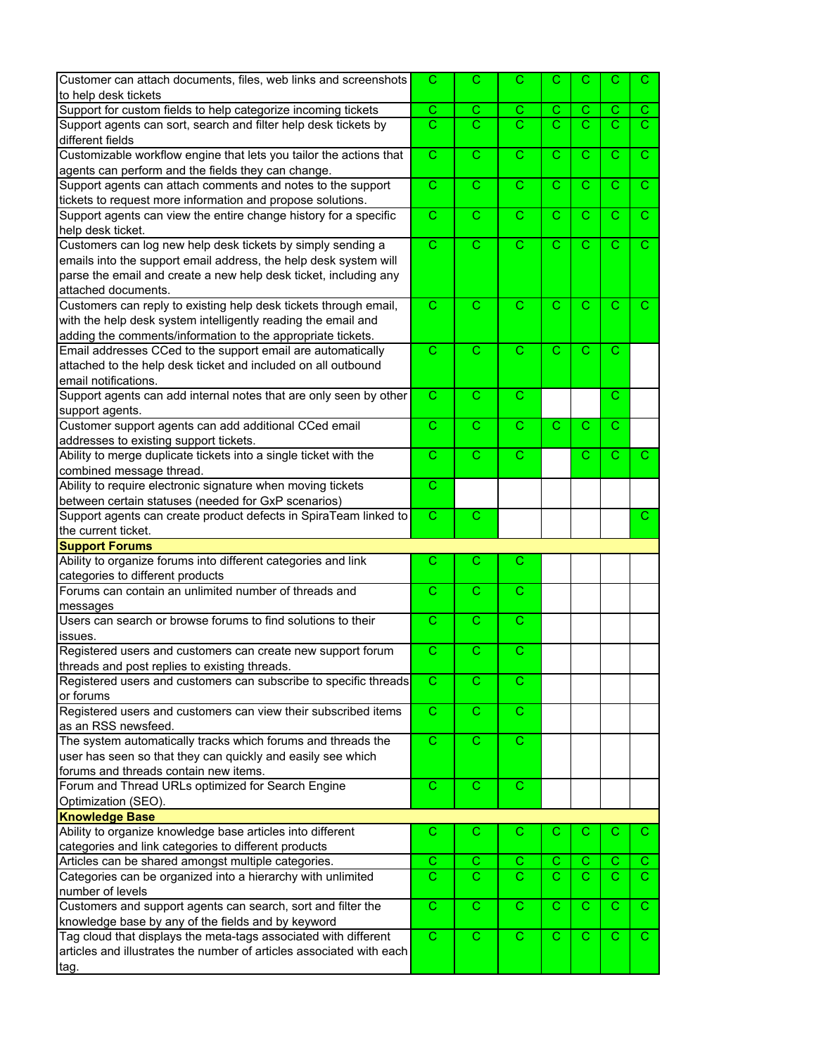| Customer can attach documents, files, web links and screenshots                     | $\mathsf{C}$               | C                          | $\mathsf{C}$               | C                     | C                       | С                     | C                  |
|-------------------------------------------------------------------------------------|----------------------------|----------------------------|----------------------------|-----------------------|-------------------------|-----------------------|--------------------|
| to help desk tickets                                                                |                            |                            |                            |                       |                         |                       |                    |
| Support for custom fields to help categorize incoming tickets                       | C                          | С                          | С                          | С                     | С                       | С                     | C.                 |
| Support agents can sort, search and filter help desk tickets by<br>different fields | $\overline{\text{c}}$      | $\overline{\text{c}}$      | $\overline{\text{c}}$      | $\overline{\text{c}}$ | $\overline{\text{c}}$   | $\overline{\text{c}}$ | $\overline{\rm c}$ |
| Customizable workflow engine that lets you tailor the actions that                  | $\overline{C}$             | C                          | C                          | C                     | C                       | C                     | $\mathsf{C}$       |
| agents can perform and the fields they can change.                                  |                            |                            |                            |                       |                         |                       |                    |
| Support agents can attach comments and notes to the support                         | $\overline{C}$             | $\overline{\text{c}}$      | $\overline{\text{c}}$      | $\overline{\text{c}}$ | $\overline{C}$          | $\mathsf{C}$          | $\mathsf{C}$       |
| tickets to request more information and propose solutions.                          |                            |                            |                            |                       |                         |                       |                    |
| Support agents can view the entire change history for a specific                    | C                          | C                          | C                          | C                     | С                       | С                     | С                  |
| help desk ticket.                                                                   |                            |                            |                            |                       |                         |                       |                    |
| Customers can log new help desk tickets by simply sending a                         | $\overline{C}$             | $\overline{\text{c}}$      | $\overline{\text{c}}$      | $\overline{\text{c}}$ | $\overline{C}$          | $\mathbf C$           | $\mathsf{C}$       |
|                                                                                     |                            |                            |                            |                       |                         |                       |                    |
| emails into the support email address, the help desk system will                    |                            |                            |                            |                       |                         |                       |                    |
| parse the email and create a new help desk ticket, including any                    |                            |                            |                            |                       |                         |                       |                    |
| attached documents.                                                                 |                            |                            |                            |                       |                         |                       |                    |
| Customers can reply to existing help desk tickets through email,                    | $\overline{C}$             | $\overline{\text{c}}$      | $\overline{\text{c}}$      | $\overline{\text{c}}$ | $\overline{\text{c}}$   | $\mathbf C$           | $\mathbf C$        |
| with the help desk system intelligently reading the email and                       |                            |                            |                            |                       |                         |                       |                    |
| adding the comments/information to the appropriate tickets.                         |                            |                            |                            |                       |                         |                       |                    |
| Email addresses CCed to the support email are automatically                         | $\mathsf{C}$               | $\mathsf{C}$               | $\overline{\text{c}}$      | Ċ.                    | C                       | С                     |                    |
| attached to the help desk ticket and included on all outbound                       |                            |                            |                            |                       |                         |                       |                    |
| email notifications.                                                                |                            |                            |                            |                       |                         |                       |                    |
| Support agents can add internal notes that are only seen by other                   | $\overline{C}$             | $\mathbf C$                | $\overline{\text{c}}$      |                       |                         | C                     |                    |
|                                                                                     |                            |                            |                            |                       |                         |                       |                    |
| support agents.                                                                     |                            |                            |                            |                       |                         |                       |                    |
| Customer support agents can add additional CCed email                               | $\mathsf{C}$               | $\mathbf C$                | $\mathbf C$                | $\overline{C}$        | С                       | C                     |                    |
| addresses to existing support tickets.                                              |                            |                            |                            |                       |                         |                       |                    |
| Ability to merge duplicate tickets into a single ticket with the                    | C                          | C                          | C                          |                       | С                       | С                     | С                  |
| combined message thread.                                                            |                            |                            |                            |                       |                         |                       |                    |
| Ability to require electronic signature when moving tickets                         | $\mathbf C$                |                            |                            |                       |                         |                       |                    |
| between certain statuses (needed for GxP scenarios)                                 |                            |                            |                            |                       |                         |                       |                    |
|                                                                                     |                            |                            |                            |                       |                         |                       |                    |
|                                                                                     |                            |                            |                            |                       |                         |                       | C.                 |
| Support agents can create product defects in SpiraTeam linked to                    | $\mathbf C$                | $\overline{\text{c}}$      |                            |                       |                         |                       |                    |
| the current ticket.                                                                 |                            |                            |                            |                       |                         |                       |                    |
| <b>Support Forums</b>                                                               |                            |                            |                            |                       |                         |                       |                    |
| Ability to organize forums into different categories and link                       | C                          | C                          | $\mathsf{C}$               |                       |                         |                       |                    |
| categories to different products                                                    |                            |                            |                            |                       |                         |                       |                    |
| Forums can contain an unlimited number of threads and                               | C                          | C                          | C                          |                       |                         |                       |                    |
| messages                                                                            |                            |                            |                            |                       |                         |                       |                    |
| Users can search or browse forums to find solutions to their                        | $\overline{C}$             | $\overline{C}$             | $\overline{\text{c}}$      |                       |                         |                       |                    |
| issues.                                                                             |                            |                            |                            |                       |                         |                       |                    |
| Registered users and customers can create new support forum                         | $\mathbf C$                | C                          | $\overline{\text{c}}$      |                       |                         |                       |                    |
|                                                                                     |                            |                            |                            |                       |                         |                       |                    |
| threads and post replies to existing threads.                                       | $\mathbf C$                | C                          | $\overline{\text{c}}$      |                       |                         |                       |                    |
| Registered users and customers can subscribe to specific threads                    |                            |                            |                            |                       |                         |                       |                    |
| or forums                                                                           |                            |                            |                            |                       |                         |                       |                    |
| Registered users and customers can view their subscribed items                      | $\overline{C}$             | $\overline{\text{c}}$      | $\overline{\text{c}}$      |                       |                         |                       |                    |
| as an RSS newsfeed.                                                                 |                            |                            |                            |                       |                         |                       |                    |
| The system automatically tracks which forums and threads the                        | $\overline{C}$             | $\overline{\text{c}}$      | $\overline{\text{c}}$      |                       |                         |                       |                    |
| user has seen so that they can quickly and easily see which                         |                            |                            |                            |                       |                         |                       |                    |
| forums and threads contain new items.                                               |                            |                            |                            |                       |                         |                       |                    |
| Forum and Thread URLs optimized for Search Engine                                   | $\mathbf C$                | $\mathsf{C}$               | $\mathsf{C}$               |                       |                         |                       |                    |
| Optimization (SEO).                                                                 |                            |                            |                            |                       |                         |                       |                    |
| <b>Knowledge Base</b>                                                               |                            |                            |                            |                       |                         |                       |                    |
| Ability to organize knowledge base articles into different                          | С                          | С                          | C                          | С                     | С                       | С                     | C.                 |
| categories and link categories to different products                                |                            |                            |                            |                       |                         |                       |                    |
|                                                                                     |                            |                            |                            |                       | С                       | С                     | C.                 |
| Articles can be shared amongst multiple categories.                                 | С<br>$\overline{\text{c}}$ | С<br>$\overline{\text{c}}$ | С<br>$\overline{\text{c}}$ | С                     |                         | C                     | C.                 |
| Categories can be organized into a hierarchy with unlimited                         |                            |                            |                            | $\overline{\text{c}}$ | $\overline{\mathsf{C}}$ |                       |                    |
| number of levels                                                                    |                            |                            |                            |                       |                         |                       |                    |
| Customers and support agents can search, sort and filter the                        | $\mathsf{C}$               | $\mathsf{C}$               | $\mathsf{C}$               | C.                    | C                       | С                     | $\mathbf{C}$       |
| knowledge base by any of the fields and by keyword                                  |                            |                            |                            |                       |                         |                       |                    |
| Tag cloud that displays the meta-tags associated with different                     | $\overline{C}$             | $\overline{\text{c}}$      | $\mathsf{C}$               | $\overline{\text{c}}$ | $\mathbf C$             | С                     | $\mathsf{C}$       |
| articles and illustrates the number of articles associated with each                |                            |                            |                            |                       |                         |                       |                    |
| tag.                                                                                |                            |                            |                            |                       |                         |                       |                    |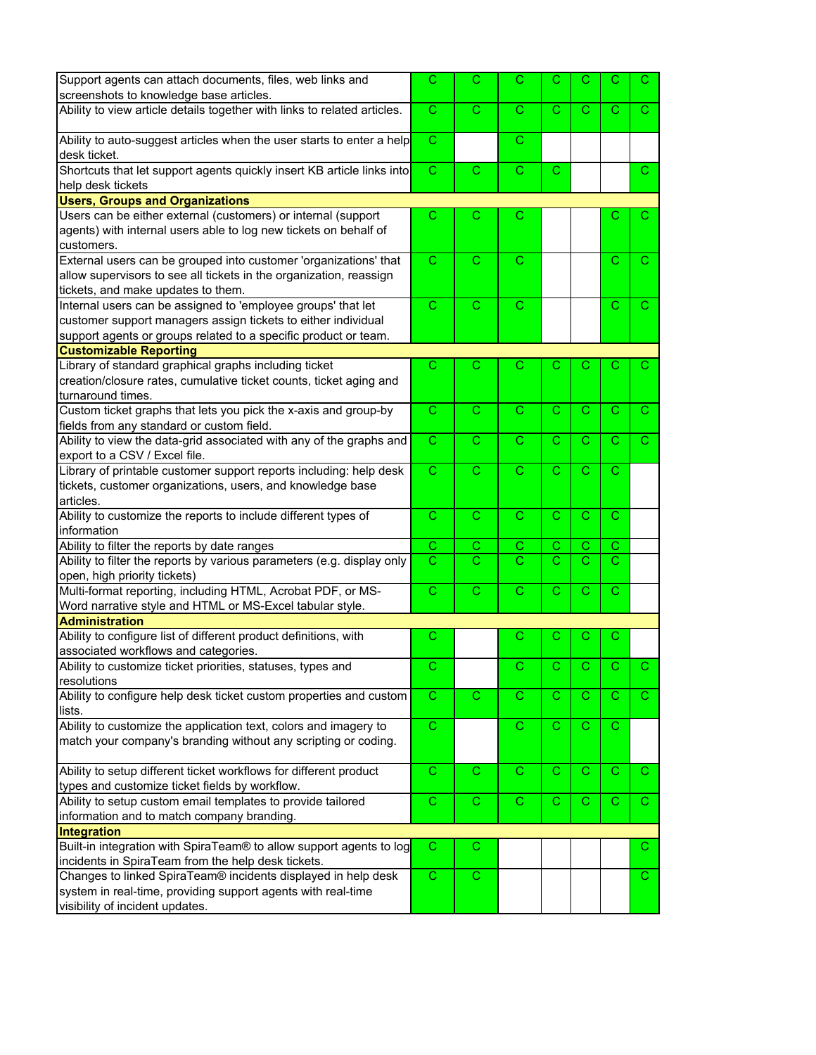| Support agents can attach documents, files, web links and                | C                     | C                     | C                     | C                     | C            | С            | С            |
|--------------------------------------------------------------------------|-----------------------|-----------------------|-----------------------|-----------------------|--------------|--------------|--------------|
| screenshots to knowledge base articles.                                  |                       |                       |                       |                       |              |              |              |
| Ability to view article details together with links to related articles. |                       | C.                    | C                     | $\mathbf{C}$          | $\mathbf C$  | C            | C.           |
| Ability to auto-suggest articles when the user starts to enter a help    | $\mathsf{C}$          |                       | C                     |                       |              |              |              |
| desk ticket.                                                             |                       |                       |                       |                       |              |              |              |
| Shortcuts that let support agents quickly insert KB article links into   | $\mathsf{C}$          | $\mathbf C$           | $\mathsf{C}$          | $\mathsf{C}$          |              |              | C.           |
| help desk tickets                                                        |                       |                       |                       |                       |              |              |              |
| <b>Users, Groups and Organizations</b>                                   |                       |                       |                       |                       |              |              |              |
| Users can be either external (customers) or internal (support            | С                     | С                     | С                     |                       |              | С            | С            |
| agents) with internal users able to log new tickets on behalf of         |                       |                       |                       |                       |              |              |              |
| customers.                                                               |                       |                       |                       |                       |              |              |              |
| External users can be grouped into customer 'organizations' that         | $\overline{C}$        | C                     | C                     |                       |              | C            | C.           |
| allow supervisors to see all tickets in the organization, reassign       |                       |                       |                       |                       |              |              |              |
| tickets, and make updates to them.                                       |                       |                       |                       |                       |              |              |              |
| Internal users can be assigned to 'employee groups' that let             |                       | $\overline{\text{c}}$ | $\overline{C}$        |                       |              | $\mathbf C$  | C.           |
| customer support managers assign tickets to either individual            |                       |                       |                       |                       |              |              |              |
| support agents or groups related to a specific product or team.          |                       |                       |                       |                       |              |              |              |
| <b>Customizable Reporting</b>                                            |                       |                       |                       |                       |              |              |              |
| Library of standard graphical graphs including ticket                    | C                     | C                     | С                     | С                     | С            | С            | C            |
| creation/closure rates, cumulative ticket counts, ticket aging and       |                       |                       |                       |                       |              |              |              |
| turnaround times.                                                        |                       |                       |                       |                       |              |              |              |
| Custom ticket graphs that lets you pick the x-axis and group-by          | $\mathsf{C}$          | $\mathsf{C}$          | $\overline{C}$        | $\mathsf{C}$          | $\mathsf{C}$ | C            | C.           |
| fields from any standard or custom field.                                |                       |                       |                       |                       |              |              |              |
| Ability to view the data-grid associated with any of the graphs and      | $\overline{C}$        | $\mathsf{C}$          | $\overline{\text{c}}$ | $\overline{\text{c}}$ | $\mathsf{C}$ | $\mathbf C$  | С            |
|                                                                          |                       |                       |                       |                       |              |              |              |
| export to a CSV / Excel file.                                            |                       |                       |                       |                       |              |              |              |
| Library of printable customer support reports including: help desk       | $\mathsf{C}$          | C                     | C                     | C                     | C            | С            |              |
| tickets, customer organizations, users, and knowledge base               |                       |                       |                       |                       |              |              |              |
| articles.                                                                |                       |                       |                       |                       |              |              |              |
| Ability to customize the reports to include different types of           | $\mathsf{C}$          | $\mathsf{C}$          | C                     | $\mathsf{C}$          | C            | C            |              |
| information                                                              |                       |                       |                       |                       |              |              |              |
| Ability to filter the reports by date ranges                             | С                     | С                     | С                     | С                     | С            | C            |              |
| Ability to filter the reports by various parameters (e.g. display only   | $\overline{\text{c}}$ | C                     | $\overline{\rm c}$    | $\overline{\text{c}}$ | $\mathsf{C}$ | C            |              |
| open, high priority tickets)                                             |                       |                       |                       |                       |              |              |              |
| Multi-format reporting, including HTML, Acrobat PDF, or MS-              | C                     | C                     | C                     | C                     | С            | С            |              |
| Word narrative style and HTML or MS-Excel tabular style.                 |                       |                       |                       |                       |              |              |              |
| <b>Administration</b>                                                    |                       |                       |                       |                       |              |              |              |
| Ability to configure list of different product definitions, with         | C                     |                       | С                     | С                     | С            | С            |              |
| associated workflows and categories.                                     |                       |                       |                       |                       |              |              |              |
| Ability to customize ticket priorities, statuses, types and              | C.                    |                       | C                     | C                     | C.           | C.           |              |
| resolutions                                                              |                       |                       |                       |                       |              |              |              |
| Ability to configure help desk ticket custom properties and custom       | C                     | C                     | C                     | С                     | С            | C            | C.           |
| lists.                                                                   |                       |                       |                       |                       |              |              |              |
| Ability to customize the application text, colors and imagery to         | $\mathbf C$           |                       | С                     | $\mathsf{C}$          | C            | С            |              |
| match your company's branding without any scripting or coding.           |                       |                       |                       |                       |              |              |              |
|                                                                          |                       |                       |                       |                       |              |              |              |
| Ability to setup different ticket workflows for different product        | $\overline{C}$        | C                     | $\overline{C}$        | $\overline{C}$        | $\mathbf C$  | C            | C.           |
| types and customize ticket fields by workflow.                           |                       |                       |                       |                       |              |              |              |
| Ability to setup custom email templates to provide tailored              | $\overline{C}$        | $\overline{C}$        | $\overline{C}$        | $\overline{C}$        | $\mathbf C$  | $\mathsf{C}$ | C.           |
| information and to match company branding.                               |                       |                       |                       |                       |              |              |              |
| Integration                                                              |                       |                       |                       |                       |              |              |              |
| Built-in integration with SpiraTeam® to allow support agents to log      | C                     | С                     |                       |                       |              |              | C.           |
| incidents in SpiraTeam from the help desk tickets.                       |                       |                       |                       |                       |              |              |              |
| Changes to linked SpiraTeam® incidents displayed in help desk            | $\mathsf{C}$          | $\mathsf C$           |                       |                       |              |              | $\mathbf{C}$ |
| system in real-time, providing support agents with real-time             |                       |                       |                       |                       |              |              |              |
| visibility of incident updates.                                          |                       |                       |                       |                       |              |              |              |
|                                                                          |                       |                       |                       |                       |              |              |              |